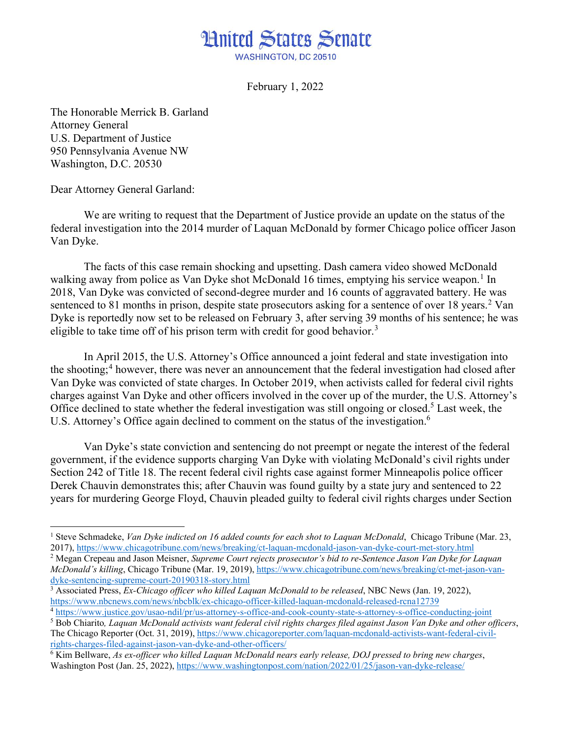## **Hnited States Senate WASHINGTON, DC 20510**

February 1, 2022

The Honorable Merrick B. Garland Attorney General U.S. Department of Justice 950 Pennsylvania Avenue NW Washington, D.C. 20530

Dear Attorney General Garland:

We are writing to request that the Department of Justice provide an update on the status of the federal investigation into the 2014 murder of Laquan McDonald by former Chicago police officer Jason Van Dyke.

The facts of this case remain shocking and upsetting. Dash camera video showed McDonald walking away from police as Van Dyke shot McDonald [1](#page-0-0)6 times, emptying his service weapon.<sup>1</sup> In 2018, Van Dyke was convicted of second-degree murder and 16 counts of aggravated battery. He was sentenced to 81 months in prison, despite state prosecutors asking for a sentence of over 18 years.<sup>[2](#page-0-1)</sup> Van Dyke is reportedly now set to be released on February 3, after serving 39 months of his sentence; he was eligible to take time off of his prison term with credit for good behavior.<sup>[3](#page-0-2)</sup>

In April 2015, the U.S. Attorney's Office announced a joint federal and state investigation into the shooting;<sup>[4](#page-0-3)</sup> however, there was never an announcement that the federal investigation had closed after Van Dyke was convicted of state charges. In October 2019, when activists called for federal civil rights charges against Van Dyke and other officers involved in the cover up of the murder, the U.S. Attorney's Office declined to state whether the federal investigation was still ongoing or closed.<sup>[5](#page-0-4)</sup> Last week, the U.S. Attorney's Office again declined to comment on the status of the investigation.<sup>[6](#page-0-5)</sup>

Van Dyke's state conviction and sentencing do not preempt or negate the interest of the federal government, if the evidence supports charging Van Dyke with violating McDonald's civil rights under Section 242 of Title 18. The recent federal civil rights case against former Minneapolis police officer Derek Chauvin demonstrates this; after Chauvin was found guilty by a state jury and sentenced to 22 years for murdering George Floyd, Chauvin pleaded guilty to federal civil rights charges under Section

<span id="page-0-0"></span><sup>&</sup>lt;sup>1</sup> Steve Schmadeke, *Van Dyke indicted on 16 added counts for each shot to Laquan McDonald*, Chicago Tribune (Mar. 23, 2017), https://www.chicagotribune.com/news/breaking/ct-laquan-mcdonald-jason-van-dyke-court-met-story.

<span id="page-0-1"></span><sup>&</sup>lt;sup>2</sup> Megan Crepeau and Jason Meisner, Supreme Court rejects prosecutor's bid to re-Sentence Jason Van Dyke for Laquan *McDonald's killing*, Chicago Tribune (Mar. 19, 2019), https://www.chicagotribune.com/news/breaking/ct-met-jason-van-<br>dyke-sentencing-supreme-court-20190318-story.html

<span id="page-0-2"></span><sup>&</sup>lt;sup>3</sup> Associated Press, *Ex-Chicago officer who killed Laquan McDonald to be released*, NBC News (Jan. 19, 2022), <https://www.nbcnews.com/news/nbcblk/ex-chicago-officer-killed-laquan-mcdonald-released-rcna12739>4 <https://www.justice.gov/usao-ndil/pr/us-attorney-s-office-and-cook-county-state-s-attorney-s-office-conducting-joint>

<span id="page-0-3"></span>

<span id="page-0-4"></span><sup>5</sup> Bob Chiarito*, Laquan McDonald activists want federal civil rights charges filed against Jason Van Dyke and other officers*, The Chicago Reporter (Oct. 31, 2019), [https://www.chicagoreporter.com/laquan-mcdonald-activists-want-federal-civil](https://www.chicagoreporter.com/laquan-mcdonald-activists-want-federal-civil-rights-charges-filed-against-jason-van-dyke-and-other-officers/)[rights-charges-filed-against-jason-van-dyke-and-other-officers/](https://www.chicagoreporter.com/laquan-mcdonald-activists-want-federal-civil-rights-charges-filed-against-jason-van-dyke-and-other-officers/)

<span id="page-0-5"></span><sup>6</sup> Kim Bellware, *As ex-officer who killed Laquan McDonald nears early release, DOJ pressed to bring new charges*, Washington Post (Jan. 25, 2022), https://www.washingtonpost.com/nation/2022/01/25/jason-van-dyke-release/